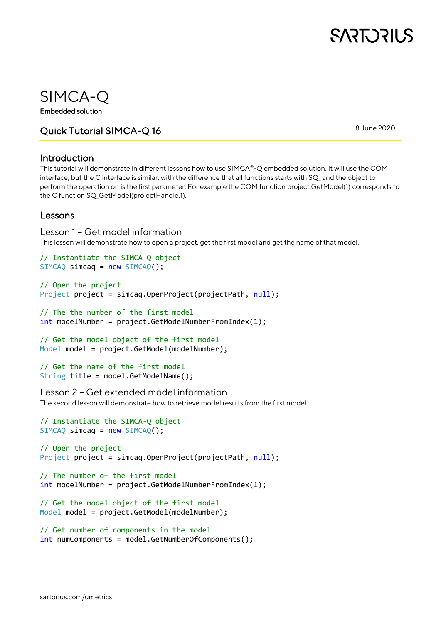

### SIMCA-Q

Embedded solution

Quick Tutorial SIMCA-Q 16

8 June 2020

### Introduction

This tutorial will demonstrate in different lessons how to use SIMCA®-Q embedded solution. It will use the COM interface, but the C interface is similar, with the difference that all functions starts with SQ\_ and the object to perform the operation on is the first parameter. For example the COM function project.GetModel(1) corresponds to the C function SQ\_GetModel(projectHandle,1).

### Lessons

Lesson 1 – Get model information This lesson will demonstrate how to open a project, get the first model and get the name of that model.

```
// Instantiate the SIMCA-Q object
SIMCAQ \text{ simcaq} = new SIMCAQ();
```

```
// Open the project
Project project = simcaq.OpenProject(projectPath, null);
```

```
// The the number of the first model
int modelNumber = project.GetModelNumberFromIndex(1);
```

```
// Get the model object of the first model
Model model = project.GetModel(modelNumber);
```

```
// Get the name of the first model
String title = model.GetModelName();
```
Lesson 2 – Get extended model information

The second lesson will demonstrate how to retrieve model results from the first model.

```
// Instantiate the SIMCA-Q object 
SIMCAQ simcaq = new SIMCAQ();
```

```
// Open the project
Project project = simcaq.OpenProject(projectPath, null);
```

```
// The number of the first model
int modelNumber = project.GetModelNumberFromIndex(1);
```

```
// Get the model object of the first model
Model model = project.GetModel(modelNumber);
```

```
// Get number of components in the model
int numComponents = model.GetNumberOfComponents();
```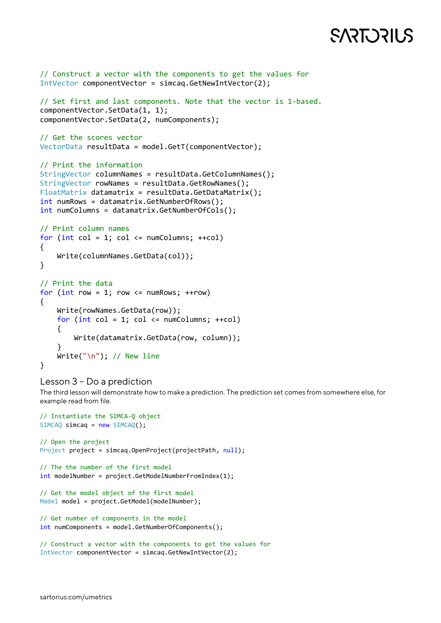# **SART DRILS**

```
// Construct a vector with the components to get the values for
IntVector componentVector = simcaq.GetNewIntVector(2);
// Set first and last components. Note that the vector is 1-based.
componentVector.SetData(1, 1);
componentVector.SetData(2, numComponents);
// Get the scores vector
VectorData resultData = model.GetT(componentVector);
// Print the information
StringVector columnNames = resultData.GetColumnNames();
StringVector rowNames = resultData.GetRowNames();
FloatMatrix datamatrix = resultData.GetDataMatrix();
int numRows = datamatrix.GetNumberOfRows();
int numColumns = datamatrix.GetNumberOfCols();
// Print column names
for (int col = 1; col \leq numColumns; ++col)
{
     Write(columnNames.GetData(col));
}
// Print the data
for (int row = 1; row \leq numRows; ++row)
{
    Write(rowNames.GetData(row));
    for (int col = 1; col \le numColumns; ++col)
     {
         Write(datamatrix.GetData(row, column));
 }
   Write("n"); // New line
}
```
#### Lesson 3 – Do a prediction

The third lesson will demonstrate how to make a prediction. The prediction set comes from somewhere else, for example read from file.

```
// Instantiate the SIMCA-Q object 
SIMCAQ simcaq = new SIMCAQ();
// Open the project
Project project = simcaq.OpenProject(projectPath, null);
// The the number of the first model
int modelNumber = project.GetModelNumberFromIndex(1);
// Get the model object of the first model
Model model = project.GetModel(modelNumber);
// Get number of components in the model
int numComponents = model.GetNumberOfComponents();
// Construct a vector with the components to get the values for
IntVector componentVector = simcaq.GetNewIntVector(2);
```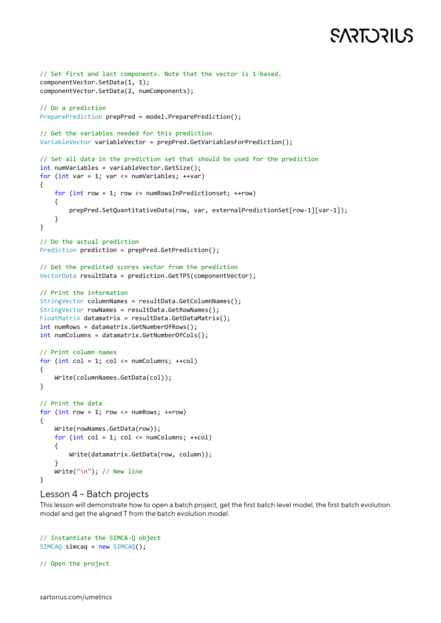# **SART DRILS**

```
// Set first and last components. Note that the vector is 1-based.
componentVector.SetData(1, 1);
componentVector.SetData(2, numComponents);
// Do a prediction
PreparePrediction prepPred = model.PreparePrediction();
// Get the variables needed for this prediction
VariableVector variableVector = prepPred.GetVariablesForPrediction();
// Set all data in the prediction set that should be used for the prediction
int numVariables = variableVector.GetSize();
for (int var = 1; var \langle = numVariables; ++var)
{
    for (int row = 1; row <= numRowsInPredictionset; ++row)
     {
        prepPred.SetQuantitativeData(row, var, externalPredictionSet[row-1][var-1]);
     }
}
// Do the actual prediction
Prediction prediction = prepPred.GetPrediction();
// Get the predicted scores vector from the prediction
VectorData resultData = prediction.GetTPS(componentVector);
// Print the information
StringVector columnNames = resultData.GetColumnNames();
StringVector rowNames = resultData.GetRowNames();
FloatMatrix datamatrix = resultData.GetDataMatrix();
int numRows = datamatrix.GetNumberOfRows();
int numColumns = datamatrix.GetNumberOfCols();
// Print column names
for (int col = 1; col \leftarrow numColumns; ++col)
{
    Write(columnNames.GetData(col));
}
// Print the data
for (int row = 1; row \le numRows; ++row)
{
    Write(rowNames.GetData(row));
   for (int col = 1; col <= numColumns; ++col) {
         Write(datamatrix.GetData(row, column));
     }
    Write("\n"); // New line
}
```
#### Lesson 4 – Batch projects

This lesson will demonstrate how to open a batch project, get the first batch level model, the first batch evolution model and get the aligned T from the batch evolution model.

```
// Instantiate the SIMCA-Q object 
SIMCAQ simcaq = new SIMCAQ();
```
// Open the project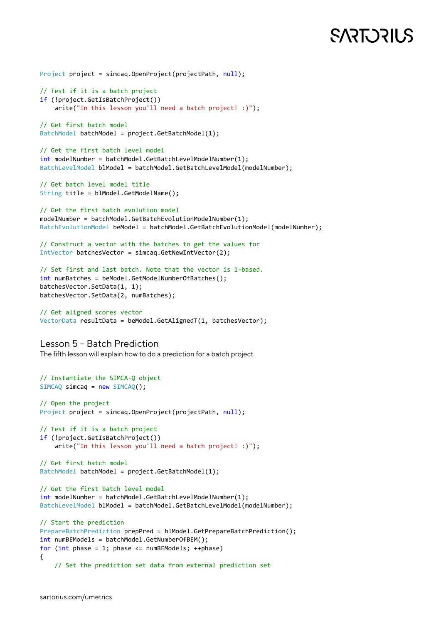## **SART DRILS**

```
Project project = simcaq.OpenProject(projectPath, null);
// Test if it is a batch project
if (!project.GetIsBatchProject())
    write("In this lesson you'll need a batch project! :)");
// Get first batch model
BatchModel batchModel = project.GetBatchModel(1);
// Get the first batch level model
int modelNumber = batchModel.GetBatchLevelModelNumber(1);
BatchLevelModel blModel = batchModel.GetBatchLevelModel(modelNumber);
// Get batch level model title
String title = blModel.GetModelName();
// Get the first batch evolution model
modelNumber = batchModel.GetBatchEvolutionModelNumber(1);
BatchEvolutionModel beModel = batchModel.GetBatchEvolutionModel(modelNumber);
// Construct a vector with the batches to get the values for
IntVector batchesVector = simcaq.GetNewIntVector(2);
// Set first and last batch. Note that the vector is 1-based.
int numBatches = beModel.GetModelNumberOfBatches();
batchesVector.SetData(1, 1);
batchesVector.SetData(2, numBatches);
// Get aligned scores vector
VectorData resultData = beModel.GetAlignedT(1, batchesVector);
Lesson 5 – Batch Prediction
The fifth lesson will explain how to do a prediction for a batch project.
// Instantiate the SIMCA-Q object 
SIMCAQ simcaq = new SIMCAQ();
// Open the project
Project project = simcaq.OpenProject(projectPath, null);
// Test if it is a batch project
if (!project.GetIsBatchProject())
     write("In this lesson you'll need a batch project! :)");
// Get first batch model
BatchModel batchModel = project.GetBatchModel(1);
// Get the first batch level model
int modelNumber = batchModel.GetBatchLevelModelNumber(1);
BatchLevelModel blModel = batchModel.GetBatchLevelModel(modelNumber);
// Start the prediction
PrepareBatchPrediction prepPred = blModel.GetPrepareBatchPrediction();
int numBEModels = batchModel.GetNumberOfBEM();
for (int phase = 1; phase \leq numBEModels; ++phase)
{
     // Set the prediction set data from external prediction set
```